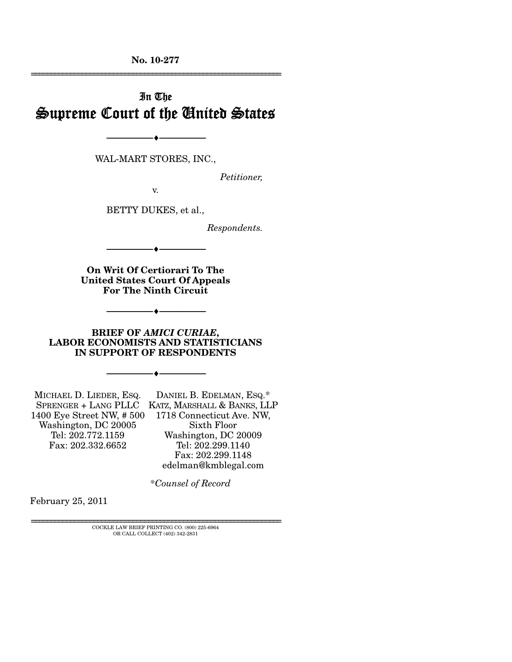**No. 10-277**  ================================================================

# In The Supreme Court of the United States

WAL-MART STORES, INC.,

--------------------------------- ♦ ---------------------------------

*Petitioner,* 

v.

BETTY DUKES, et al.,

*Respondents.* 

**On Writ Of Certiorari To The United States Court Of Appeals For The Ninth Circuit** 

 $-$ 

--------------------------------- ♦ ---------------------------------

**BRIEF OF** *AMICI CURIAE***, LABOR ECONOMISTS AND STATISTICIANS IN SUPPORT OF RESPONDENTS** 

--------------------------------- ♦ ---------------------------------

MICHAEL D. LIEDER, ESQ. SPRENGER + LANG PLLC KATZ, MARSHALL & BANKS, LLP 1400 Eye Street NW, # 500 1718 Connecticut Ave. NW, Washington, DC 20005 Tel: 202.772.1159 Fax: 202.332.6652 DANIEL B. EDELMAN, ESQ.\* Sixth Floor Washington, DC 20009 Tel: 202.299.1140

Fax: 202.299.1148 edelman@kmblegal.com

 *\*Counsel of Record* 

February 25, 2011

================================================================ COCKLE LAW BRIEF PRINTING CO. (800) 225-6964 OR CALL COLLECT (402) 342-2831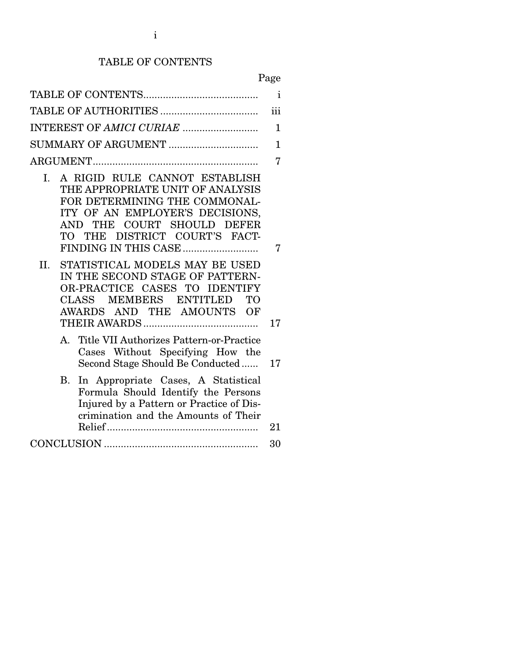# TABLE OF CONTENTS

Page

| $\mathbf{i}$                                                                                                                                                                                                                                                                                                                                                                                             |         |  |  |
|----------------------------------------------------------------------------------------------------------------------------------------------------------------------------------------------------------------------------------------------------------------------------------------------------------------------------------------------------------------------------------------------------------|---------|--|--|
| iii                                                                                                                                                                                                                                                                                                                                                                                                      |         |  |  |
| INTEREST OF AMICI CURIAE<br>$\mathbf{1}$                                                                                                                                                                                                                                                                                                                                                                 |         |  |  |
|                                                                                                                                                                                                                                                                                                                                                                                                          |         |  |  |
|                                                                                                                                                                                                                                                                                                                                                                                                          | 7       |  |  |
| I. A RIGID RULE CANNOT ESTABLISH<br>THE APPROPRIATE UNIT OF ANALYSIS<br>FOR DETERMINING THE COMMONAL-<br>ITY OF AN EMPLOYER'S DECISIONS,<br>COURT SHOULD DEFER<br>THE<br>AND -<br>THE DISTRICT COURT'S FACT-<br>TO T<br>STATISTICAL MODELS MAY BE USED<br>II.<br>IN THE SECOND STAGE OF PATTERN-<br>OR-PRACTICE CASES TO IDENTIFY<br>MEMBERS ENTITLED<br><b>CLASS</b><br>TО<br>AWARDS AND THE AMOUNTS OF | 7<br>17 |  |  |
| Title VII Authorizes Pattern-or-Practice<br>А.<br>Cases Without Specifying How the<br>Second Stage Should Be Conducted                                                                                                                                                                                                                                                                                   | 17      |  |  |
| In Appropriate Cases, A Statistical<br>Β.<br>Formula Should Identify the Persons<br>Injured by a Pattern or Practice of Dis-<br>crimination and the Amounts of Their                                                                                                                                                                                                                                     | 21      |  |  |
|                                                                                                                                                                                                                                                                                                                                                                                                          | 30      |  |  |
|                                                                                                                                                                                                                                                                                                                                                                                                          |         |  |  |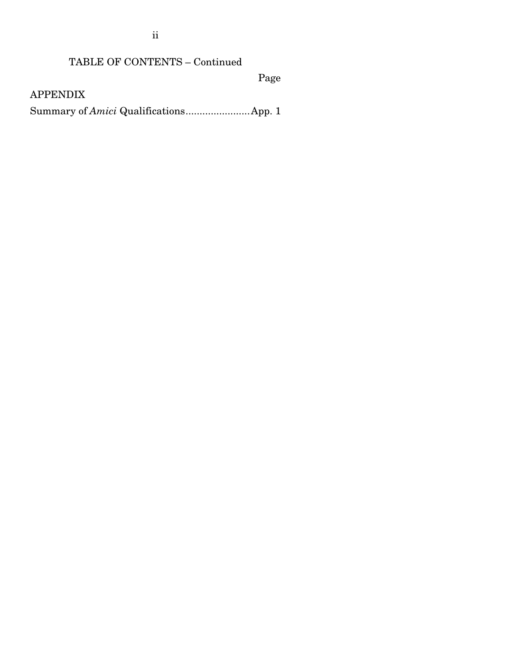ii

## TABLE OF CONTENTS – Continued

Page

APPENDIX

Summary of *Amici* Qualifications ....................... App. 1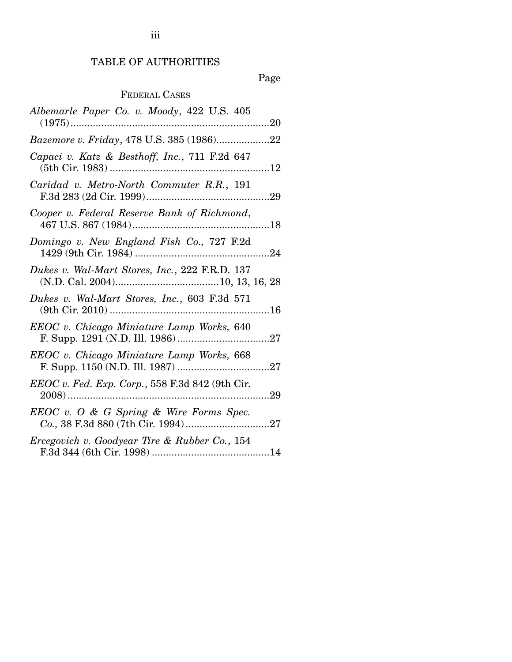# TABLE OF AUTHORITIES

# Page

## FEDERAL CASES

| Albemarle Paper Co. v. Moody, 422 U.S. 405<br>$(1975)$<br>. 20 |
|----------------------------------------------------------------|
| Bazemore v. Friday, 478 U.S. 385 (1986)22                      |
| Capaci v. Katz & Besthoff, Inc., 711 F.2d 647                  |
| Caridad v. Metro-North Commuter R.R., 191                      |
| Cooper v. Federal Reserve Bank of Richmond,                    |
| Domingo v. New England Fish Co., 727 F.2d                      |
| Dukes v. Wal-Mart Stores, Inc., 222 F.R.D. 137                 |
| Dukes v. Wal-Mart Stores, Inc., 603 F.3d 571                   |
| EEOC v. Chicago Miniature Lamp Works, 640                      |
| EEOC v. Chicago Miniature Lamp Works, 668                      |
| EEOC v. Fed. Exp. Corp., 558 F.3d 842 (9th Cir.                |
| $EEOC$ v. O & G Spring & Wire Forms Spec.                      |
| Ercegovich v. Goodyear Tire & Rubber Co., 154                  |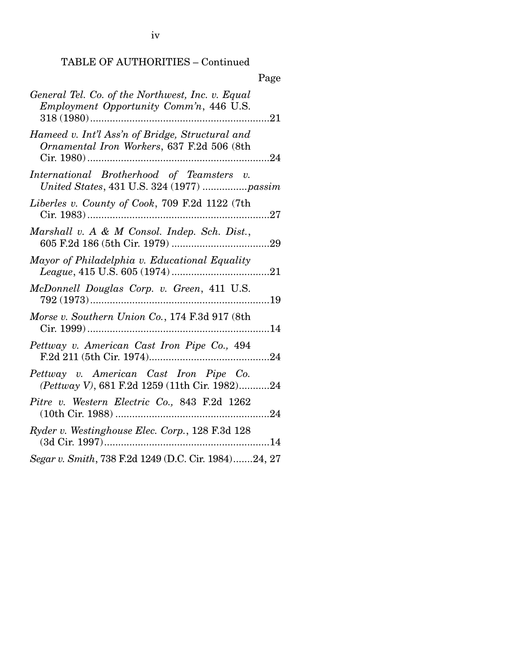iv

## TABLE OF AUTHORITIES – Continued

|                                                                                               | Page |
|-----------------------------------------------------------------------------------------------|------|
| General Tel. Co. of the Northwest, Inc. v. Equal<br>Employment Opportunity Comm'n, 446 U.S.   |      |
| Hameed v. Int'l Ass'n of Bridge, Structural and<br>Ornamental Iron Workers, 637 F.2d 506 (8th |      |
| International Brotherhood of Teamsters v.<br>United States, 431 U.S. 324 (1977) passim        |      |
| Liberles v. County of Cook, 709 F.2d 1122 (7th<br>Cir. $1983)$                                | 27   |
| Marshall v. A & M Consol. Indep. Sch. Dist.,<br>605 F.2d 186 (5th Cir. 1979)                  | .29  |
| Mayor of Philadelphia v. Educational Equality                                                 |      |
| McDonnell Douglas Corp. v. Green, 411 U.S.                                                    |      |
| Morse v. Southern Union Co., 174 F.3d 917 (8th                                                | 14   |
| Pettway v. American Cast Iron Pipe Co., 494                                                   |      |
| Pettway v. American Cast Iron Pipe Co.<br>(Pettway V), 681 F.2d 1259 (11th Cir. 1982)24       |      |
| Pitre v. Western Electric Co., 843 F.2d 1262                                                  | 24   |
| Ryder v. Westinghouse Elec. Corp., 128 F.3d 128                                               |      |
| Segar v. Smith, 738 F.2d 1249 (D.C. Cir. 1984)24, 27                                          |      |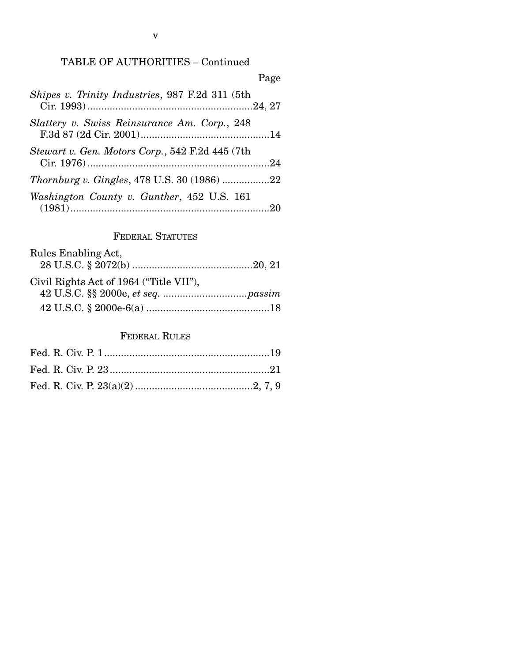## TABLE OF AUTHORITIES – Continued

| Page                                               |
|----------------------------------------------------|
| Shipes v. Trinity Industries, 987 F.2d 311 (5th    |
| Slattery v. Swiss Reinsurance Am. Corp., 248       |
| Stewart v. Gen. Motors Corp., 542 F.2d 445 (7th    |
| <i>Thornburg v. Gingles, 478 U.S. 30 (1986) 22</i> |
| Washington County v. Gunther, 452 U.S. 161         |

## FEDERAL STATUTES

| Rules Enabling Act,                     |  |
|-----------------------------------------|--|
|                                         |  |
| Civil Rights Act of 1964 ("Title VII"), |  |
|                                         |  |
|                                         |  |

## FEDERAL RULES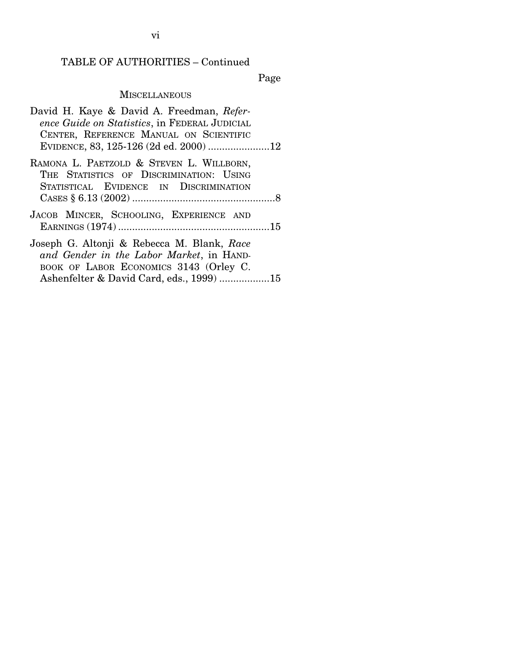## TABLE OF AUTHORITIES – Continued

Page

## **MISCELLANEOUS**

| David H. Kaye & David A. Freedman, Refer-                                                                                        |  |
|----------------------------------------------------------------------------------------------------------------------------------|--|
| ence Guide on Statistics, in FEDERAL JUDICIAL                                                                                    |  |
| CENTER, REFERENCE MANUAL ON SCIENTIFIC                                                                                           |  |
|                                                                                                                                  |  |
| RAMONA L. PAETZOLD & STEVEN L. WILLBORN,<br>THE STATISTICS OF DISCRIMINATION: USING<br>STATISTICAL EVIDENCE IN DISCRIMINATION    |  |
|                                                                                                                                  |  |
| JACOB MINCER, SCHOOLING, EXPERIENCE AND                                                                                          |  |
| Joseph G. Altonji & Rebecca M. Blank, Race<br>and Gender in the Labor Market, in HAND-<br>BOOK OF LABOR ECONOMICS 3143 (Orley C. |  |
| Ashenfelter & David Card, eds., 1999) 15                                                                                         |  |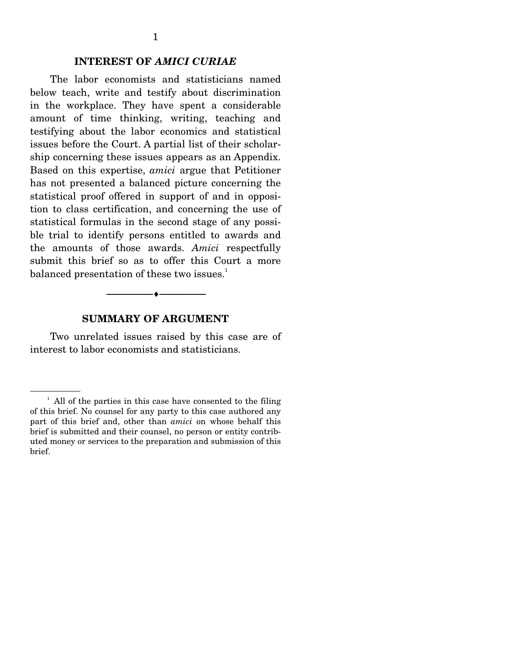#### **INTEREST OF** *AMICI CURIAE*

 The labor economists and statisticians named below teach, write and testify about discrimination in the workplace. They have spent a considerable amount of time thinking, writing, teaching and testifying about the labor economics and statistical issues before the Court. A partial list of their scholarship concerning these issues appears as an Appendix. Based on this expertise, *amici* argue that Petitioner has not presented a balanced picture concerning the statistical proof offered in support of and in opposition to class certification, and concerning the use of statistical formulas in the second stage of any possible trial to identify persons entitled to awards and the amounts of those awards. *Amici* respectfully submit this brief so as to offer this Court a more balanced presentation of these two issues.<sup>1</sup>

#### **SUMMARY OF ARGUMENT**

--------------------------------- ♦ ---------------------------------

 Two unrelated issues raised by this case are of interest to labor economists and statisticians.

<sup>&</sup>lt;sup>1</sup> All of the parties in this case have consented to the filing of this brief. No counsel for any party to this case authored any part of this brief and, other than *amici* on whose behalf this brief is submitted and their counsel, no person or entity contributed money or services to the preparation and submission of this brief.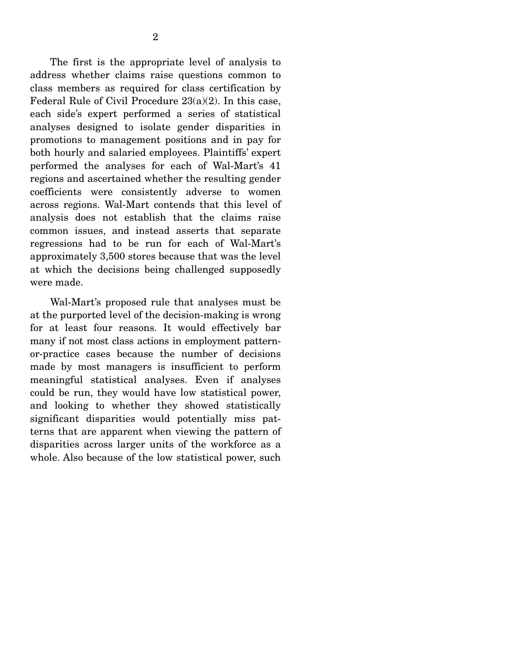The first is the appropriate level of analysis to address whether claims raise questions common to class members as required for class certification by Federal Rule of Civil Procedure 23(a)(2). In this case, each side's expert performed a series of statistical analyses designed to isolate gender disparities in promotions to management positions and in pay for both hourly and salaried employees. Plaintiffs' expert performed the analyses for each of Wal-Mart's 41 regions and ascertained whether the resulting gender coefficients were consistently adverse to women across regions. Wal-Mart contends that this level of analysis does not establish that the claims raise common issues, and instead asserts that separate regressions had to be run for each of Wal-Mart's approximately 3,500 stores because that was the level at which the decisions being challenged supposedly were made.

 Wal-Mart's proposed rule that analyses must be at the purported level of the decision-making is wrong for at least four reasons. It would effectively bar many if not most class actions in employment patternor-practice cases because the number of decisions made by most managers is insufficient to perform meaningful statistical analyses. Even if analyses could be run, they would have low statistical power, and looking to whether they showed statistically significant disparities would potentially miss patterns that are apparent when viewing the pattern of disparities across larger units of the workforce as a whole. Also because of the low statistical power, such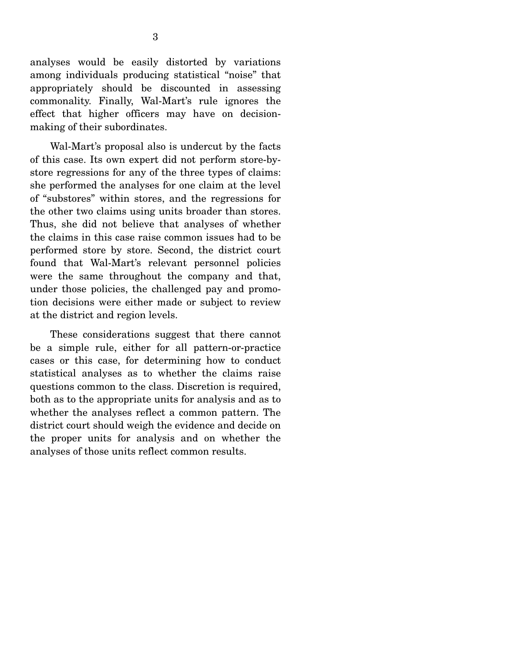analyses would be easily distorted by variations among individuals producing statistical "noise" that appropriately should be discounted in assessing commonality. Finally, Wal-Mart's rule ignores the effect that higher officers may have on decisionmaking of their subordinates.

 Wal-Mart's proposal also is undercut by the facts of this case. Its own expert did not perform store-bystore regressions for any of the three types of claims: she performed the analyses for one claim at the level of "substores" within stores, and the regressions for the other two claims using units broader than stores. Thus, she did not believe that analyses of whether the claims in this case raise common issues had to be performed store by store. Second, the district court found that Wal-Mart's relevant personnel policies were the same throughout the company and that, under those policies, the challenged pay and promotion decisions were either made or subject to review at the district and region levels.

 These considerations suggest that there cannot be a simple rule, either for all pattern-or-practice cases or this case, for determining how to conduct statistical analyses as to whether the claims raise questions common to the class. Discretion is required, both as to the appropriate units for analysis and as to whether the analyses reflect a common pattern. The district court should weigh the evidence and decide on the proper units for analysis and on whether the analyses of those units reflect common results.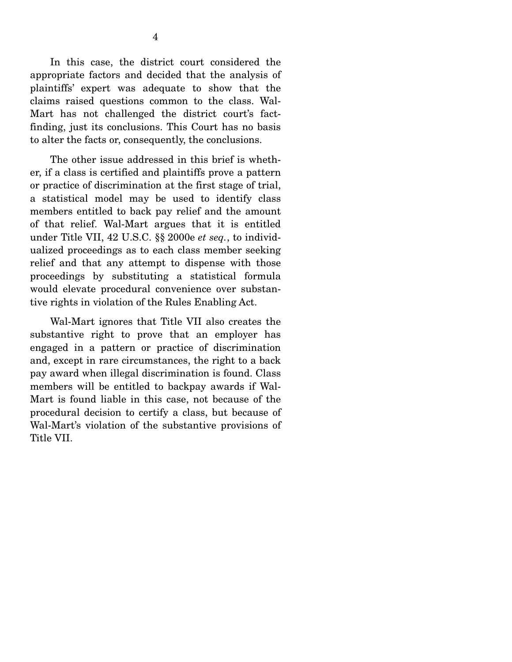In this case, the district court considered the appropriate factors and decided that the analysis of plaintiffs' expert was adequate to show that the claims raised questions common to the class. Wal-Mart has not challenged the district court's factfinding, just its conclusions. This Court has no basis to alter the facts or, consequently, the conclusions.

 The other issue addressed in this brief is whether, if a class is certified and plaintiffs prove a pattern or practice of discrimination at the first stage of trial, a statistical model may be used to identify class members entitled to back pay relief and the amount of that relief. Wal-Mart argues that it is entitled under Title VII, 42 U.S.C. §§ 2000e *et seq.*, to individualized proceedings as to each class member seeking relief and that any attempt to dispense with those proceedings by substituting a statistical formula would elevate procedural convenience over substantive rights in violation of the Rules Enabling Act.

 Wal-Mart ignores that Title VII also creates the substantive right to prove that an employer has engaged in a pattern or practice of discrimination and, except in rare circumstances, the right to a back pay award when illegal discrimination is found. Class members will be entitled to backpay awards if Wal-Mart is found liable in this case, not because of the procedural decision to certify a class, but because of Wal-Mart's violation of the substantive provisions of Title VII.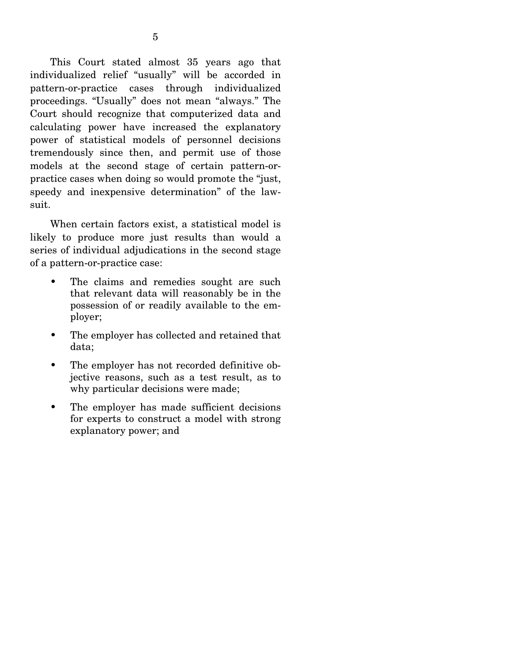This Court stated almost 35 years ago that individualized relief "usually" will be accorded in pattern-or-practice cases through individualized proceedings. "Usually" does not mean "always." The Court should recognize that computerized data and calculating power have increased the explanatory power of statistical models of personnel decisions tremendously since then, and permit use of those models at the second stage of certain pattern-orpractice cases when doing so would promote the "just, speedy and inexpensive determination" of the lawsuit.

 When certain factors exist, a statistical model is likely to produce more just results than would a series of individual adjudications in the second stage of a pattern-or-practice case:

- The claims and remedies sought are such that relevant data will reasonably be in the possession of or readily available to the employer;
- The employer has collected and retained that data;
- The employer has not recorded definitive objective reasons, such as a test result, as to why particular decisions were made;
- The employer has made sufficient decisions for experts to construct a model with strong explanatory power; and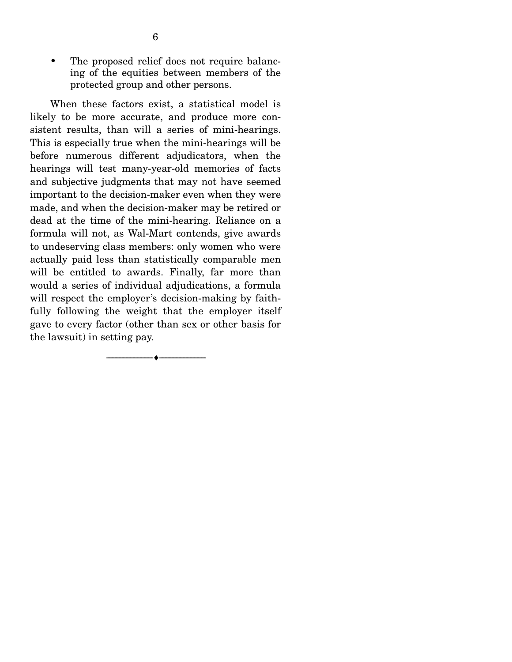• The proposed relief does not require balancing of the equities between members of the protected group and other persons.

 When these factors exist, a statistical model is likely to be more accurate, and produce more consistent results, than will a series of mini-hearings. This is especially true when the mini-hearings will be before numerous different adjudicators, when the hearings will test many-year-old memories of facts and subjective judgments that may not have seemed important to the decision-maker even when they were made, and when the decision-maker may be retired or dead at the time of the mini-hearing. Reliance on a formula will not, as Wal-Mart contends, give awards to undeserving class members: only women who were actually paid less than statistically comparable men will be entitled to awards. Finally, far more than would a series of individual adjudications, a formula will respect the employer's decision-making by faithfully following the weight that the employer itself gave to every factor (other than sex or other basis for the lawsuit) in setting pay.

--------------------------------- ♦ ---------------------------------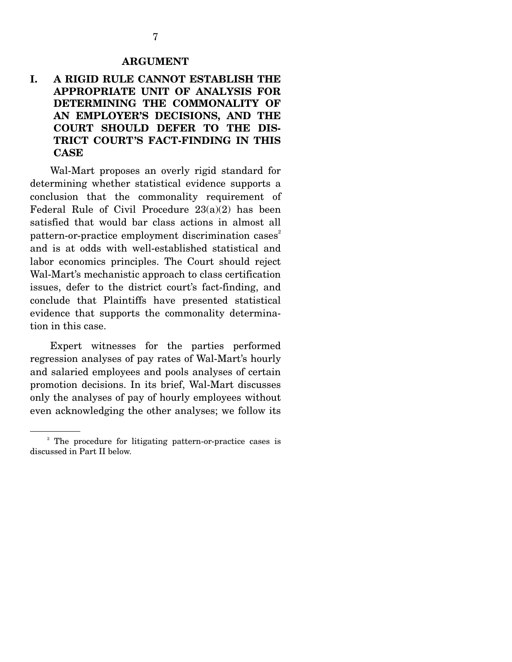#### **ARGUMENT**

### **I. A RIGID RULE CANNOT ESTABLISH THE APPROPRIATE UNIT OF ANALYSIS FOR DETERMINING THE COMMONALITY OF AN EMPLOYER'S DECISIONS, AND THE COURT SHOULD DEFER TO THE DIS-TRICT COURT'S FACT-FINDING IN THIS CASE**

 Wal-Mart proposes an overly rigid standard for determining whether statistical evidence supports a conclusion that the commonality requirement of Federal Rule of Civil Procedure 23(a)(2) has been satisfied that would bar class actions in almost all pattern-or-practice employment discrimination cases<sup>2</sup> and is at odds with well-established statistical and labor economics principles. The Court should reject Wal-Mart's mechanistic approach to class certification issues, defer to the district court's fact-finding, and conclude that Plaintiffs have presented statistical evidence that supports the commonality determination in this case.

 Expert witnesses for the parties performed regression analyses of pay rates of Wal-Mart's hourly and salaried employees and pools analyses of certain promotion decisions. In its brief, Wal-Mart discusses only the analyses of pay of hourly employees without even acknowledging the other analyses; we follow its

<sup>&</sup>lt;sup>2</sup> The procedure for litigating pattern-or-practice cases is discussed in Part II below.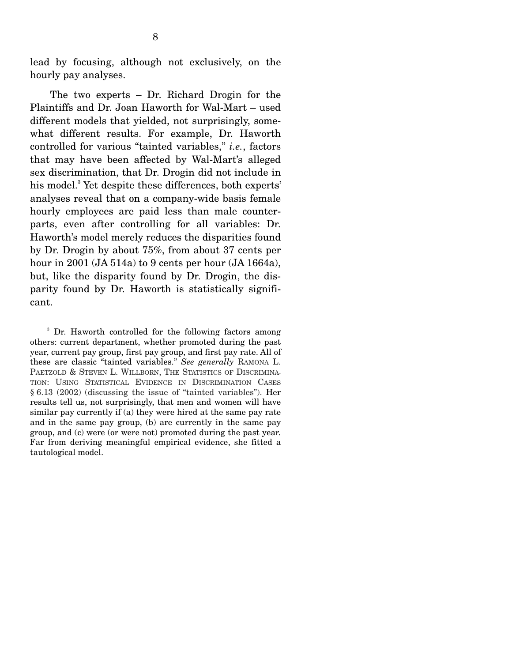lead by focusing, although not exclusively, on the hourly pay analyses.

 The two experts – Dr. Richard Drogin for the Plaintiffs and Dr. Joan Haworth for Wal-Mart – used different models that yielded, not surprisingly, somewhat different results. For example, Dr. Haworth controlled for various "tainted variables," *i.e.*, factors that may have been affected by Wal-Mart's alleged sex discrimination, that Dr. Drogin did not include in his model.<sup>3</sup> Yet despite these differences, both experts' analyses reveal that on a company-wide basis female hourly employees are paid less than male counterparts, even after controlling for all variables: Dr. Haworth's model merely reduces the disparities found by Dr. Drogin by about 75%, from about 37 cents per hour in 2001 (JA 514a) to 9 cents per hour (JA 1664a), but, like the disparity found by Dr. Drogin, the disparity found by Dr. Haworth is statistically significant.

<sup>3</sup> Dr. Haworth controlled for the following factors among others: current department, whether promoted during the past year, current pay group, first pay group, and first pay rate. All of these are classic "tainted variables." *See generally* RAMONA L. PAETZOLD & STEVEN L. WILLBORN, THE STATISTICS OF DISCRIMINA-TION: USING STATISTICAL EVIDENCE IN DISCRIMINATION CASES § 6.13 (2002) (discussing the issue of "tainted variables"). Her results tell us, not surprisingly, that men and women will have similar pay currently if (a) they were hired at the same pay rate and in the same pay group, (b) are currently in the same pay group, and (c) were (or were not) promoted during the past year. Far from deriving meaningful empirical evidence, she fitted a tautological model.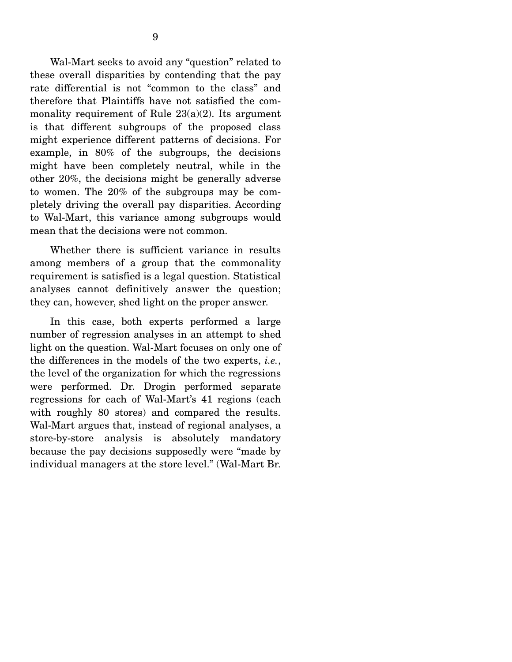Wal-Mart seeks to avoid any "question" related to these overall disparities by contending that the pay rate differential is not "common to the class" and therefore that Plaintiffs have not satisfied the commonality requirement of Rule  $23(a)(2)$ . Its argument is that different subgroups of the proposed class might experience different patterns of decisions. For example, in 80% of the subgroups, the decisions might have been completely neutral, while in the other 20%, the decisions might be generally adverse to women. The 20% of the subgroups may be completely driving the overall pay disparities. According to Wal-Mart, this variance among subgroups would mean that the decisions were not common.

 Whether there is sufficient variance in results among members of a group that the commonality requirement is satisfied is a legal question. Statistical analyses cannot definitively answer the question; they can, however, shed light on the proper answer.

 In this case, both experts performed a large number of regression analyses in an attempt to shed light on the question. Wal-Mart focuses on only one of the differences in the models of the two experts, *i.e.*, the level of the organization for which the regressions were performed. Dr. Drogin performed separate regressions for each of Wal-Mart's 41 regions (each with roughly 80 stores) and compared the results. Wal-Mart argues that, instead of regional analyses, a store-by-store analysis is absolutely mandatory because the pay decisions supposedly were "made by individual managers at the store level." (Wal-Mart Br.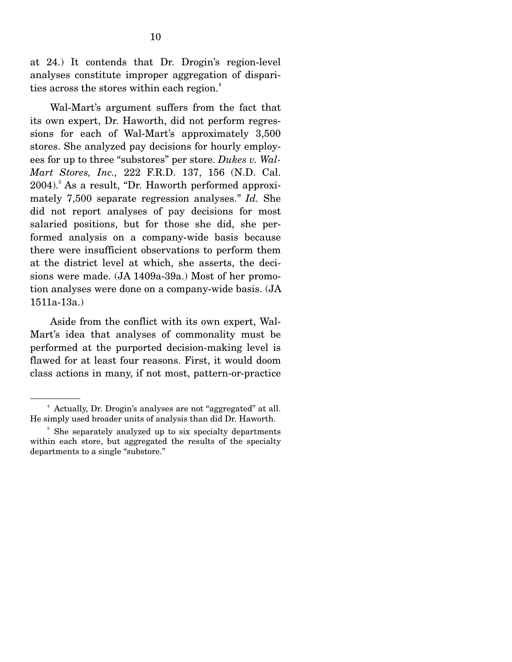at 24.) It contends that Dr. Drogin's region-level analyses constitute improper aggregation of disparities across the stores within each region.<sup>4</sup>

 Wal-Mart's argument suffers from the fact that its own expert, Dr. Haworth, did not perform regressions for each of Wal-Mart's approximately 3,500 stores. She analyzed pay decisions for hourly employees for up to three "substores" per store. *Dukes v. Wal-Mart Stores, Inc.,* 222 F.R.D. 137, 156 (N.D. Cal. 2004).<sup>5</sup> As a result, "Dr. Haworth performed approximately 7,500 separate regression analyses." *Id.* She did not report analyses of pay decisions for most salaried positions, but for those she did, she performed analysis on a company-wide basis because there were insufficient observations to perform them at the district level at which, she asserts, the decisions were made. (JA 1409a-39a.) Most of her promotion analyses were done on a company-wide basis. (JA 1511a-13a.)

 Aside from the conflict with its own expert, Wal-Mart's idea that analyses of commonality must be performed at the purported decision-making level is flawed for at least four reasons. First, it would doom class actions in many, if not most, pattern-or-practice

<sup>4</sup> Actually, Dr. Drogin's analyses are not "aggregated" at all. He simply used broader units of analysis than did Dr. Haworth.

<sup>&</sup>lt;sup>5</sup> She separately analyzed up to six specialty departments within each store, but aggregated the results of the specialty departments to a single "substore."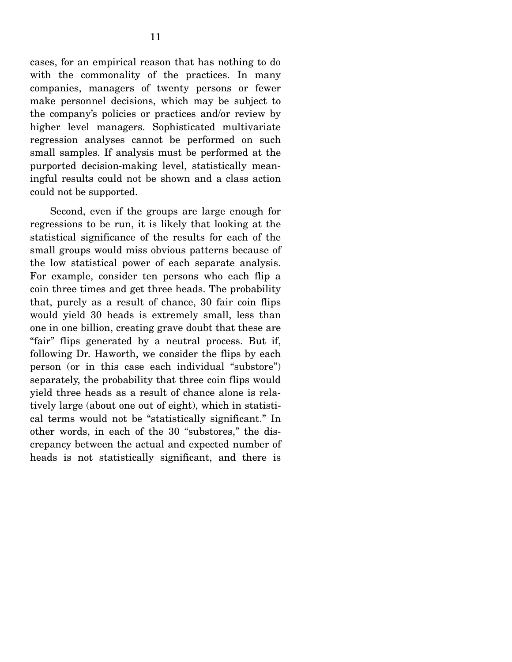cases, for an empirical reason that has nothing to do with the commonality of the practices. In many companies, managers of twenty persons or fewer make personnel decisions, which may be subject to the company's policies or practices and/or review by higher level managers. Sophisticated multivariate regression analyses cannot be performed on such small samples. If analysis must be performed at the purported decision-making level, statistically meaningful results could not be shown and a class action could not be supported.

 Second, even if the groups are large enough for regressions to be run, it is likely that looking at the statistical significance of the results for each of the small groups would miss obvious patterns because of the low statistical power of each separate analysis. For example, consider ten persons who each flip a coin three times and get three heads. The probability that, purely as a result of chance, 30 fair coin flips would yield 30 heads is extremely small, less than one in one billion, creating grave doubt that these are "fair" flips generated by a neutral process. But if, following Dr. Haworth, we consider the flips by each person (or in this case each individual "substore") separately, the probability that three coin flips would yield three heads as a result of chance alone is relatively large (about one out of eight), which in statistical terms would not be "statistically significant." In other words, in each of the 30 "substores," the discrepancy between the actual and expected number of heads is not statistically significant, and there is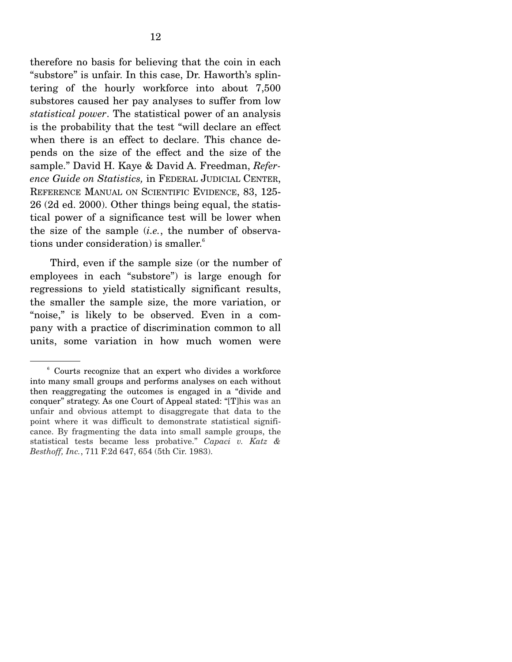therefore no basis for believing that the coin in each "substore" is unfair. In this case, Dr. Haworth's splintering of the hourly workforce into about 7,500 substores caused her pay analyses to suffer from low *statistical power*. The statistical power of an analysis is the probability that the test "will declare an effect when there is an effect to declare. This chance depends on the size of the effect and the size of the sample." David H. Kaye & David A. Freedman, *Reference Guide on Statistics,* in FEDERAL JUDICIAL CENTER, REFERENCE MANUAL ON SCIENTIFIC EVIDENCE, 83, 125- 26 (2d ed. 2000). Other things being equal, the statistical power of a significance test will be lower when the size of the sample (*i.e.*, the number of observations under consideration) is smaller.<sup>6</sup>

 Third, even if the sample size (or the number of employees in each "substore") is large enough for regressions to yield statistically significant results, the smaller the sample size, the more variation, or "noise," is likely to be observed. Even in a company with a practice of discrimination common to all units, some variation in how much women were

<sup>6</sup> Courts recognize that an expert who divides a workforce into many small groups and performs analyses on each without then reaggregating the outcomes is engaged in a "divide and conquer" strategy. As one Court of Appeal stated: "[T]his was an unfair and obvious attempt to disaggregate that data to the point where it was difficult to demonstrate statistical significance. By fragmenting the data into small sample groups, the statistical tests became less probative." *Capaci v. Katz & Besthoff, Inc.*, 711 F.2d 647, 654 (5th Cir. 1983).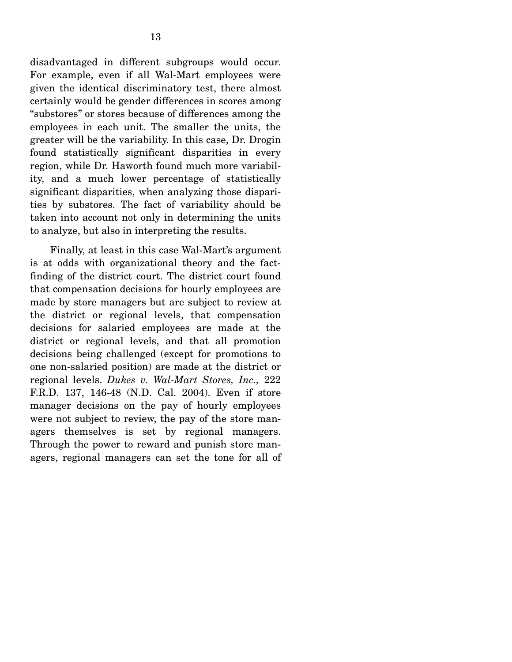disadvantaged in different subgroups would occur. For example, even if all Wal-Mart employees were given the identical discriminatory test, there almost certainly would be gender differences in scores among "substores" or stores because of differences among the employees in each unit. The smaller the units, the greater will be the variability. In this case, Dr. Drogin found statistically significant disparities in every region, while Dr. Haworth found much more variability, and a much lower percentage of statistically significant disparities, when analyzing those disparities by substores. The fact of variability should be taken into account not only in determining the units to analyze, but also in interpreting the results.

 Finally, at least in this case Wal-Mart's argument is at odds with organizational theory and the factfinding of the district court. The district court found that compensation decisions for hourly employees are made by store managers but are subject to review at the district or regional levels, that compensation decisions for salaried employees are made at the district or regional levels, and that all promotion decisions being challenged (except for promotions to one non-salaried position) are made at the district or regional levels. *Dukes v. Wal-Mart Stores, Inc.,* 222 F.R.D. 137, 146-48 (N.D. Cal. 2004). Even if store manager decisions on the pay of hourly employees were not subject to review, the pay of the store managers themselves is set by regional managers. Through the power to reward and punish store managers, regional managers can set the tone for all of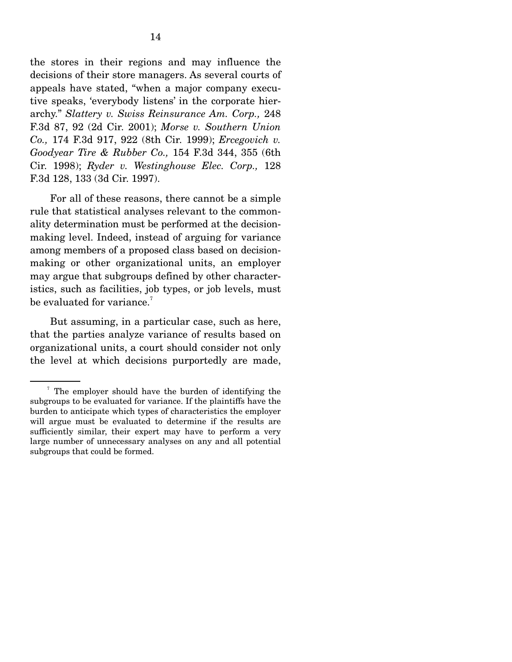the stores in their regions and may influence the decisions of their store managers. As several courts of appeals have stated, "when a major company executive speaks, 'everybody listens' in the corporate hierarchy." *Slattery v. Swiss Reinsurance Am. Corp.,* 248 F.3d 87, 92 (2d Cir. 2001); *Morse v. Southern Union Co.,* 174 F.3d 917, 922 (8th Cir. 1999); *Ercegovich v. Goodyear Tire & Rubber Co.,* 154 F.3d 344, 355 (6th Cir. 1998); *Ryder v. Westinghouse Elec. Corp.,* 128 F.3d 128, 133 (3d Cir. 1997).

 For all of these reasons, there cannot be a simple rule that statistical analyses relevant to the commonality determination must be performed at the decisionmaking level. Indeed, instead of arguing for variance among members of a proposed class based on decisionmaking or other organizational units, an employer may argue that subgroups defined by other characteristics, such as facilities, job types, or job levels, must be evaluated for variance. $^7$ 

 But assuming, in a particular case, such as here, that the parties analyze variance of results based on organizational units, a court should consider not only the level at which decisions purportedly are made,

<sup>7</sup> The employer should have the burden of identifying the subgroups to be evaluated for variance. If the plaintiffs have the burden to anticipate which types of characteristics the employer will argue must be evaluated to determine if the results are sufficiently similar, their expert may have to perform a very large number of unnecessary analyses on any and all potential subgroups that could be formed.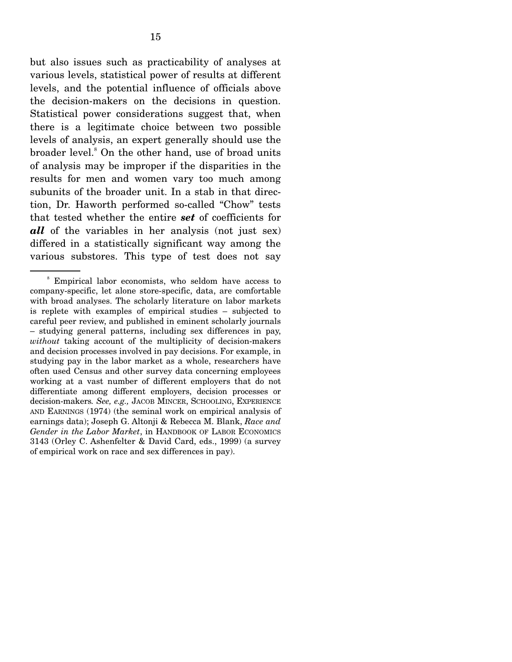but also issues such as practicability of analyses at various levels, statistical power of results at different levels, and the potential influence of officials above the decision-makers on the decisions in question. Statistical power considerations suggest that, when there is a legitimate choice between two possible levels of analysis, an expert generally should use the broader level.<sup>8</sup> On the other hand, use of broad units of analysis may be improper if the disparities in the results for men and women vary too much among subunits of the broader unit. In a stab in that direction, Dr. Haworth performed so-called "Chow" tests that tested whether the entire *set* of coefficients for *all* of the variables in her analysis (not just sex) differed in a statistically significant way among the various substores. This type of test does not say

<sup>8</sup> Empirical labor economists, who seldom have access to company-specific, let alone store-specific, data, are comfortable with broad analyses. The scholarly literature on labor markets is replete with examples of empirical studies – subjected to careful peer review, and published in eminent scholarly journals – studying general patterns, including sex differences in pay, *without* taking account of the multiplicity of decision-makers and decision processes involved in pay decisions. For example, in studying pay in the labor market as a whole, researchers have often used Census and other survey data concerning employees working at a vast number of different employers that do not differentiate among different employers, decision processes or decision-makers*. See, e.g.,* JACOB MINCER, SCHOOLING, EXPERIENCE AND EARNINGS (1974) (the seminal work on empirical analysis of earnings data); Joseph G. Altonji & Rebecca M. Blank, *Race and Gender in the Labor Market*, in HANDBOOK OF LABOR ECONOMICS 3143 (Orley C. Ashenfelter & David Card, eds., 1999) (a survey of empirical work on race and sex differences in pay).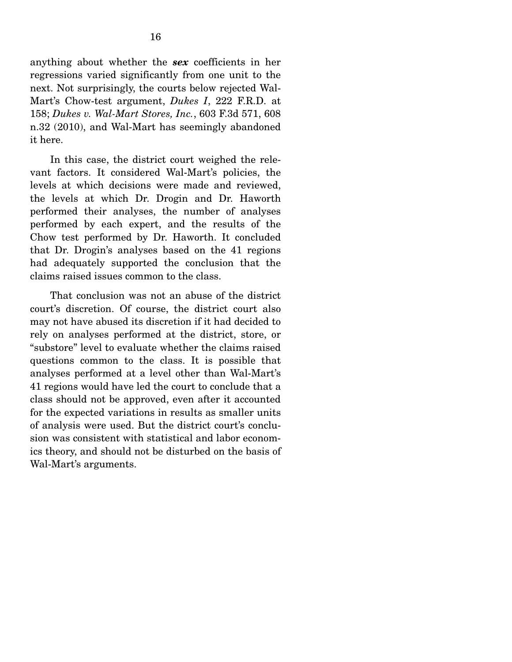anything about whether the *sex* coefficients in her regressions varied significantly from one unit to the next. Not surprisingly, the courts below rejected Wal-Mart's Chow-test argument, *Dukes I*, 222 F.R.D. at 158; *Dukes v. Wal-Mart Stores, Inc.*, 603 F.3d 571, 608 n.32 (2010), and Wal-Mart has seemingly abandoned it here.

 In this case, the district court weighed the relevant factors. It considered Wal-Mart's policies, the levels at which decisions were made and reviewed, the levels at which Dr. Drogin and Dr. Haworth performed their analyses, the number of analyses performed by each expert, and the results of the Chow test performed by Dr. Haworth. It concluded that Dr. Drogin's analyses based on the 41 regions had adequately supported the conclusion that the claims raised issues common to the class.

 That conclusion was not an abuse of the district court's discretion. Of course, the district court also may not have abused its discretion if it had decided to rely on analyses performed at the district, store, or "substore" level to evaluate whether the claims raised questions common to the class. It is possible that analyses performed at a level other than Wal-Mart's 41 regions would have led the court to conclude that a class should not be approved, even after it accounted for the expected variations in results as smaller units of analysis were used. But the district court's conclusion was consistent with statistical and labor economics theory, and should not be disturbed on the basis of Wal-Mart's arguments.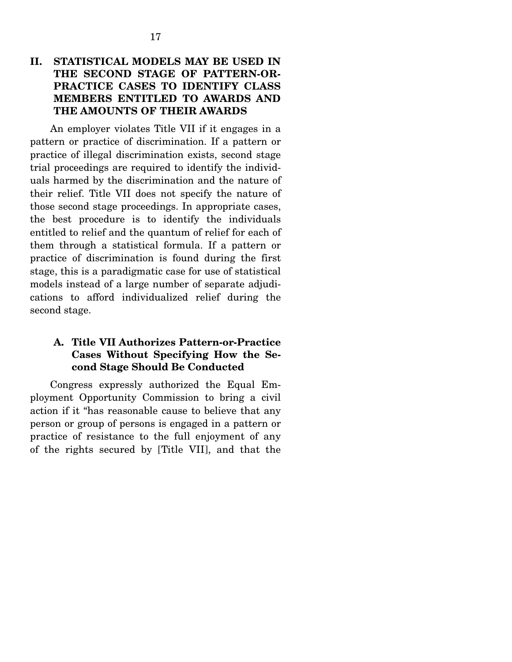### **II. STATISTICAL MODELS MAY BE USED IN THE SECOND STAGE OF PATTERN-OR-PRACTICE CASES TO IDENTIFY CLASS MEMBERS ENTITLED TO AWARDS AND THE AMOUNTS OF THEIR AWARDS**

 An employer violates Title VII if it engages in a pattern or practice of discrimination. If a pattern or practice of illegal discrimination exists, second stage trial proceedings are required to identify the individuals harmed by the discrimination and the nature of their relief. Title VII does not specify the nature of those second stage proceedings. In appropriate cases, the best procedure is to identify the individuals entitled to relief and the quantum of relief for each of them through a statistical formula. If a pattern or practice of discrimination is found during the first stage, this is a paradigmatic case for use of statistical models instead of a large number of separate adjudications to afford individualized relief during the second stage.

#### **A. Title VII Authorizes Pattern-or-Practice Cases Without Specifying How the Second Stage Should Be Conducted**

 Congress expressly authorized the Equal Employment Opportunity Commission to bring a civil action if it "has reasonable cause to believe that any person or group of persons is engaged in a pattern or practice of resistance to the full enjoyment of any of the rights secured by [Title VII], and that the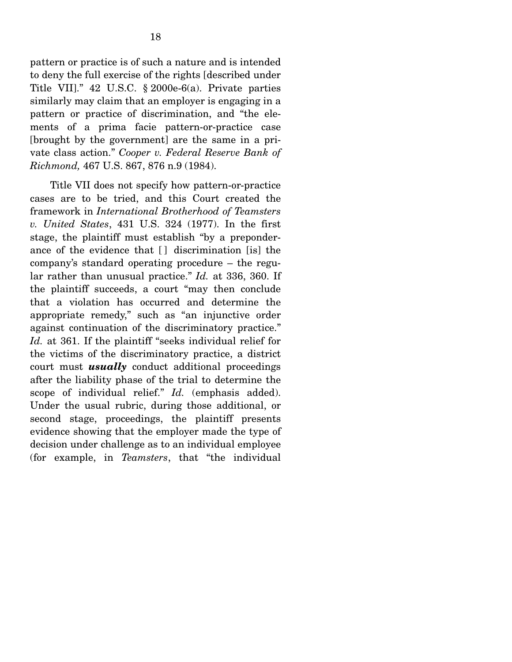pattern or practice is of such a nature and is intended to deny the full exercise of the rights [described under Title VII]." 42 U.S.C. § 2000e-6(a). Private parties similarly may claim that an employer is engaging in a pattern or practice of discrimination, and "the elements of a prima facie pattern-or-practice case [brought by the government] are the same in a private class action." *Cooper v. Federal Reserve Bank of Richmond,* 467 U.S. 867, 876 n.9 (1984).

 Title VII does not specify how pattern-or-practice cases are to be tried, and this Court created the framework in *International Brotherhood of Teamsters v. United States*, 431 U.S. 324 (1977). In the first stage, the plaintiff must establish "by a preponderance of the evidence that [ ] discrimination [is] the company's standard operating procedure – the regular rather than unusual practice." *Id.* at 336, 360. If the plaintiff succeeds, a court "may then conclude that a violation has occurred and determine the appropriate remedy," such as "an injunctive order against continuation of the discriminatory practice." *Id.* at 361. If the plaintiff "seeks individual relief for the victims of the discriminatory practice, a district court must *usually* conduct additional proceedings after the liability phase of the trial to determine the scope of individual relief." *Id.* (emphasis added). Under the usual rubric, during those additional, or second stage, proceedings, the plaintiff presents evidence showing that the employer made the type of decision under challenge as to an individual employee (for example, in *Teamsters*, that "the individual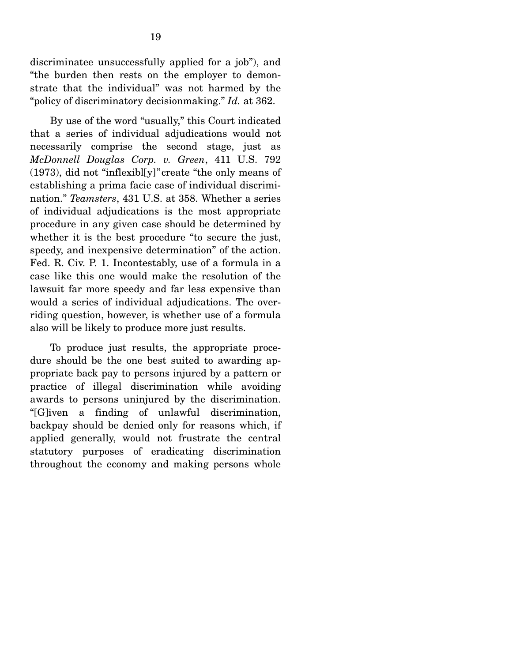discriminatee unsuccessfully applied for a job"), and "the burden then rests on the employer to demonstrate that the individual" was not harmed by the "policy of discriminatory decisionmaking." *Id.* at 362.

 By use of the word "usually," this Court indicated that a series of individual adjudications would not necessarily comprise the second stage, just as *McDonnell Douglas Corp. v. Green*, 411 U.S. 792 (1973), did not "inflexibl[y]"create "the only means of establishing a prima facie case of individual discrimination." *Teamsters*, 431 U.S. at 358. Whether a series of individual adjudications is the most appropriate procedure in any given case should be determined by whether it is the best procedure "to secure the just, speedy, and inexpensive determination" of the action. Fed. R. Civ. P. 1. Incontestably, use of a formula in a case like this one would make the resolution of the lawsuit far more speedy and far less expensive than would a series of individual adjudications. The overriding question, however, is whether use of a formula also will be likely to produce more just results.

 To produce just results, the appropriate procedure should be the one best suited to awarding appropriate back pay to persons injured by a pattern or practice of illegal discrimination while avoiding awards to persons uninjured by the discrimination. "[G]iven a finding of unlawful discrimination, backpay should be denied only for reasons which, if applied generally, would not frustrate the central statutory purposes of eradicating discrimination throughout the economy and making persons whole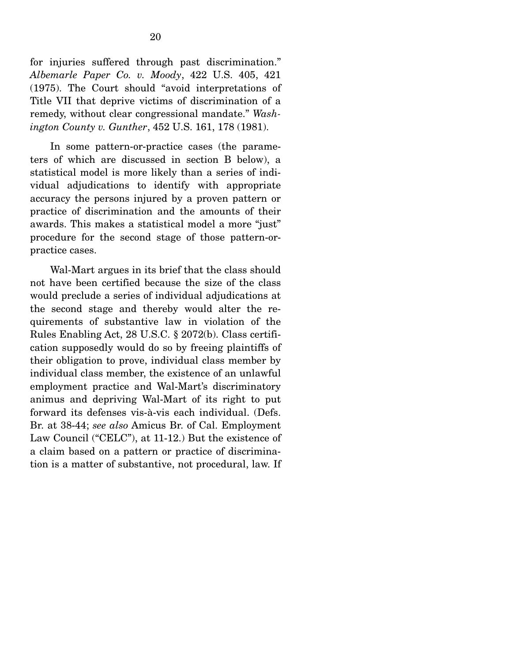for injuries suffered through past discrimination." *Albemarle Paper Co. v. Moody*, 422 U.S. 405, 421 (1975). The Court should "avoid interpretations of Title VII that deprive victims of discrimination of a remedy, without clear congressional mandate." *Washington County v. Gunther*, 452 U.S. 161, 178 (1981).

 In some pattern-or-practice cases (the parameters of which are discussed in section B below), a statistical model is more likely than a series of individual adjudications to identify with appropriate accuracy the persons injured by a proven pattern or practice of discrimination and the amounts of their awards. This makes a statistical model a more "just" procedure for the second stage of those pattern-orpractice cases.

 Wal-Mart argues in its brief that the class should not have been certified because the size of the class would preclude a series of individual adjudications at the second stage and thereby would alter the requirements of substantive law in violation of the Rules Enabling Act, 28 U.S.C. § 2072(b). Class certification supposedly would do so by freeing plaintiffs of their obligation to prove, individual class member by individual class member, the existence of an unlawful employment practice and Wal-Mart's discriminatory animus and depriving Wal-Mart of its right to put forward its defenses vis-à-vis each individual. (Defs. Br. at 38-44; *see also* Amicus Br. of Cal. Employment Law Council ("CELC"), at 11-12.) But the existence of a claim based on a pattern or practice of discrimination is a matter of substantive, not procedural, law. If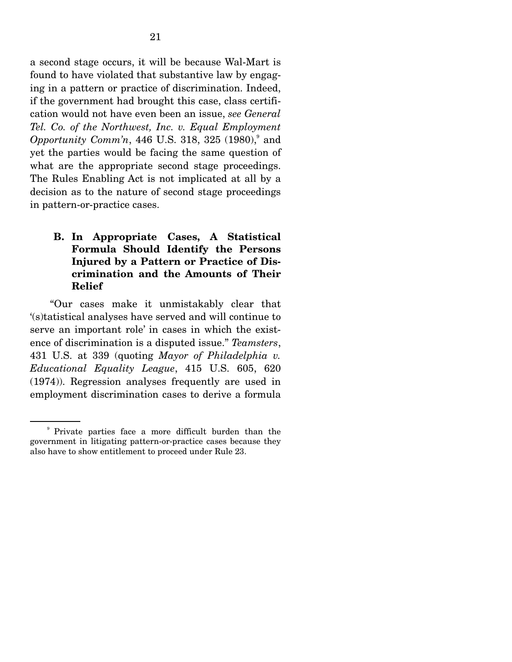a second stage occurs, it will be because Wal-Mart is found to have violated that substantive law by engaging in a pattern or practice of discrimination. Indeed, if the government had brought this case, class certification would not have even been an issue, *see General Tel. Co. of the Northwest, Inc. v. Equal Employment*  Opportunity Comm'n, 446 U.S. 318, 325 (1980),<sup>9</sup> and yet the parties would be facing the same question of what are the appropriate second stage proceedings. The Rules Enabling Act is not implicated at all by a decision as to the nature of second stage proceedings in pattern-or-practice cases.

### **B. In Appropriate Cases, A Statistical Formula Should Identify the Persons Injured by a Pattern or Practice of Discrimination and the Amounts of Their Relief**

 "Our cases make it unmistakably clear that '(s)tatistical analyses have served and will continue to serve an important role' in cases in which the existence of discrimination is a disputed issue." *Teamsters*, 431 U.S. at 339 (quoting *Mayor of Philadelphia v. Educational Equality League*, 415 U.S. 605, 620 (1974)). Regression analyses frequently are used in employment discrimination cases to derive a formula

<sup>9</sup> Private parties face a more difficult burden than the government in litigating pattern-or-practice cases because they also have to show entitlement to proceed under Rule 23.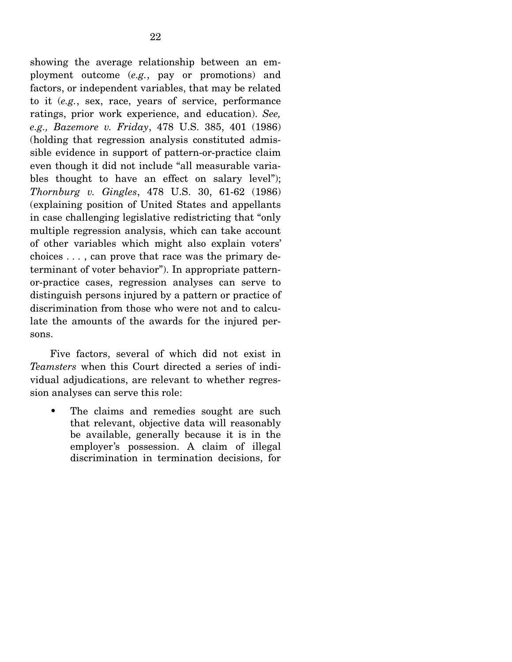showing the average relationship between an employment outcome (*e.g.*, pay or promotions) and factors, or independent variables, that may be related to it (*e.g.*, sex, race, years of service, performance ratings, prior work experience, and education). *See, e.g., Bazemore v. Friday*, 478 U.S. 385, 401 (1986) (holding that regression analysis constituted admissible evidence in support of pattern-or-practice claim even though it did not include "all measurable variables thought to have an effect on salary level"); *Thornburg v. Gingles*, 478 U.S. 30, 61-62 (1986) (explaining position of United States and appellants in case challenging legislative redistricting that "only multiple regression analysis, which can take account of other variables which might also explain voters' choices . . . , can prove that race was the primary determinant of voter behavior"). In appropriate patternor-practice cases, regression analyses can serve to distinguish persons injured by a pattern or practice of discrimination from those who were not and to calculate the amounts of the awards for the injured persons.

 Five factors, several of which did not exist in *Teamsters* when this Court directed a series of individual adjudications, are relevant to whether regression analyses can serve this role:

• The claims and remedies sought are such that relevant, objective data will reasonably be available, generally because it is in the employer's possession. A claim of illegal discrimination in termination decisions, for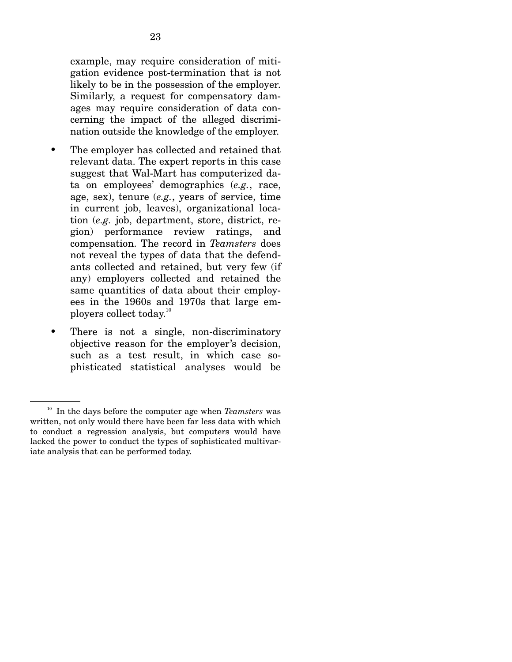example, may require consideration of mitigation evidence post-termination that is not likely to be in the possession of the employer. Similarly, a request for compensatory damages may require consideration of data concerning the impact of the alleged discrimination outside the knowledge of the employer.

- The employer has collected and retained that relevant data. The expert reports in this case suggest that Wal-Mart has computerized data on employees' demographics (*e.g.*, race, age, sex), tenure (*e.g.*, years of service, time in current job, leaves), organizational location (*e.g.* job, department, store, district, region) performance review ratings, and compensation. The record in *Teamsters* does not reveal the types of data that the defendants collected and retained, but very few (if any) employers collected and retained the same quantities of data about their employees in the 1960s and 1970s that large employers collect today.10
- There is not a single, non-discriminatory objective reason for the employer's decision, such as a test result, in which case sophisticated statistical analyses would be

<sup>10</sup> In the days before the computer age when *Teamsters* was written, not only would there have been far less data with which to conduct a regression analysis, but computers would have lacked the power to conduct the types of sophisticated multivariate analysis that can be performed today.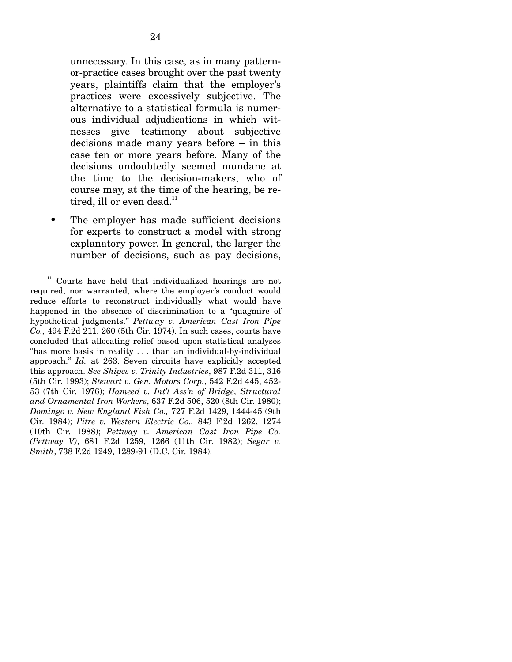unnecessary. In this case, as in many patternor-practice cases brought over the past twenty years, plaintiffs claim that the employer's practices were excessively subjective. The alternative to a statistical formula is numerous individual adjudications in which witnesses give testimony about subjective decisions made many years before – in this case ten or more years before. Many of the decisions undoubtedly seemed mundane at the time to the decision-makers, who of course may, at the time of the hearing, be retired, ill or even dead.<sup>11</sup>

• The employer has made sufficient decisions for experts to construct a model with strong explanatory power. In general, the larger the number of decisions, such as pay decisions,

 $11$  Courts have held that individualized hearings are not required, nor warranted, where the employer's conduct would reduce efforts to reconstruct individually what would have happened in the absence of discrimination to a "quagmire of hypothetical judgments." *Pettway v. American Cast Iron Pipe Co.,* 494 F.2d 211, 260 (5th Cir. 1974). In such cases, courts have concluded that allocating relief based upon statistical analyses "has more basis in reality . . . than an individual-by-individual approach." *Id.* at 263. Seven circuits have explicitly accepted this approach. *See Shipes v. Trinity Industries*, 987 F.2d 311, 316 (5th Cir. 1993); *Stewart v. Gen. Motors Corp.*, 542 F.2d 445, 452- 53 (7th Cir. 1976); *Hameed v. Int'l Ass'n of Bridge, Structural and Ornamental Iron Workers*, 637 F.2d 506, 520 (8th Cir. 1980); *Domingo v. New England Fish Co.,* 727 F.2d 1429, 1444-45 (9th Cir. 1984); *Pitre v. Western Electric Co.,* 843 F.2d 1262, 1274 (10th Cir. 1988); *Pettway v. American Cast Iron Pipe Co. (Pettway V)*, 681 F.2d 1259, 1266 (11th Cir. 1982); *Segar v. Smith*, 738 F.2d 1249, 1289-91 (D.C. Cir. 1984).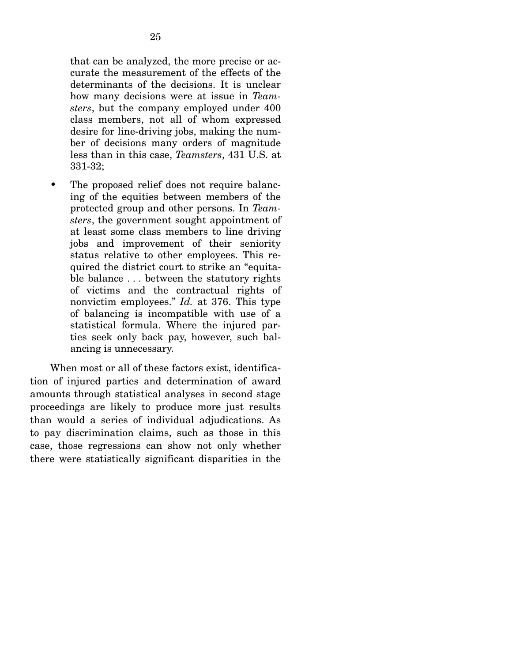that can be analyzed, the more precise or accurate the measurement of the effects of the determinants of the decisions. It is unclear how many decisions were at issue in *Teamsters*, but the company employed under 400 class members, not all of whom expressed desire for line-driving jobs, making the number of decisions many orders of magnitude less than in this case, *Teamsters*, 431 U.S. at 331-32;

• The proposed relief does not require balancing of the equities between members of the protected group and other persons. In *Teamsters*, the government sought appointment of at least some class members to line driving jobs and improvement of their seniority status relative to other employees. This required the district court to strike an "equitable balance . . . between the statutory rights of victims and the contractual rights of nonvictim employees." *Id.* at 376. This type of balancing is incompatible with use of a statistical formula. Where the injured parties seek only back pay, however, such balancing is unnecessary.

 When most or all of these factors exist, identification of injured parties and determination of award amounts through statistical analyses in second stage proceedings are likely to produce more just results than would a series of individual adjudications. As to pay discrimination claims, such as those in this case, those regressions can show not only whether there were statistically significant disparities in the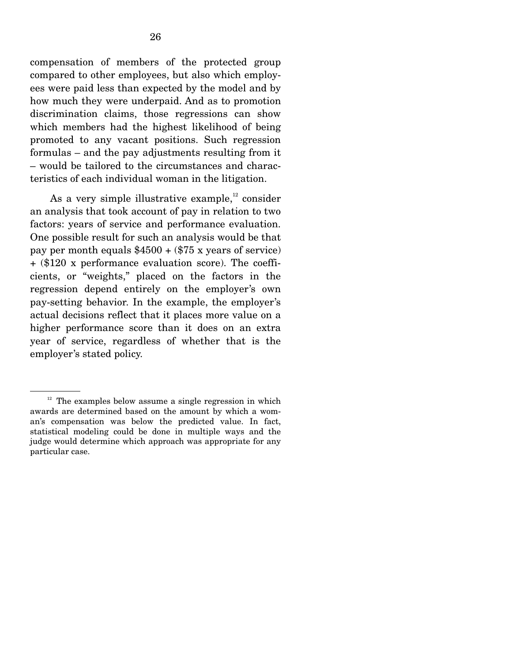compensation of members of the protected group compared to other employees, but also which employees were paid less than expected by the model and by how much they were underpaid. And as to promotion discrimination claims, those regressions can show which members had the highest likelihood of being promoted to any vacant positions. Such regression formulas – and the pay adjustments resulting from it – would be tailored to the circumstances and characteristics of each individual woman in the litigation.

As a very simple illustrative example, $^{12}$  consider an analysis that took account of pay in relation to two factors: years of service and performance evaluation. One possible result for such an analysis would be that pay per month equals  $$4500 + ($75 \text{ x years of service})$ + (\$120 x performance evaluation score). The coefficients, or "weights," placed on the factors in the regression depend entirely on the employer's own pay-setting behavior. In the example, the employer's actual decisions reflect that it places more value on a higher performance score than it does on an extra year of service, regardless of whether that is the employer's stated policy.

 $12$  The examples below assume a single regression in which awards are determined based on the amount by which a woman's compensation was below the predicted value. In fact, statistical modeling could be done in multiple ways and the judge would determine which approach was appropriate for any particular case.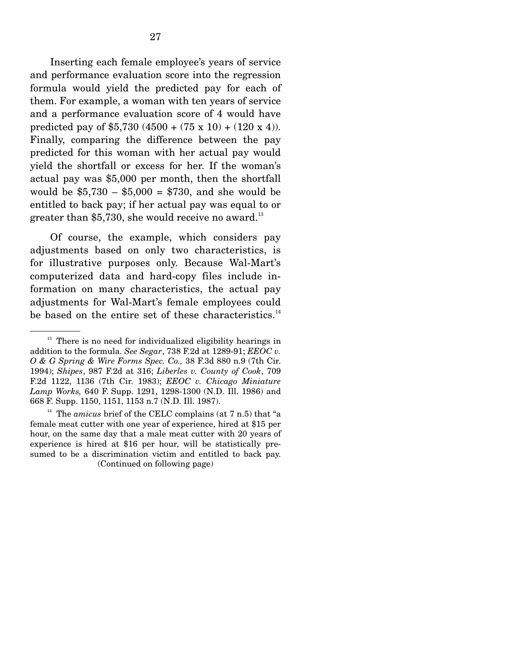Inserting each female employee's years of service and performance evaluation score into the regression formula would yield the predicted pay for each of them. For example, a woman with ten years of service and a performance evaluation score of 4 would have predicted pay of \$5,730 (4500 + (75 x 10) + (120 x 4)). Finally, comparing the difference between the pay predicted for this woman with her actual pay would yield the shortfall or excess for her. If the woman's actual pay was \$5,000 per month, then the shortfall would be  $$5,730 - $5,000 = $730$ , and she would be entitled to back pay; if her actual pay was equal to or greater than \$5,730, she would receive no award.<sup>13</sup>

 Of course, the example, which considers pay adjustments based on only two characteristics, is for illustrative purposes only. Because Wal-Mart's computerized data and hard-copy files include information on many characteristics, the actual pay adjustments for Wal-Mart's female employees could be based on the entire set of these characteristics. $14$ 

 $13$  There is no need for individualized eligibility hearings in addition to the formula. *See Segar*, 738 F.2d at 1289-91; *EEOC v. O & G Spring & Wire Forms Spec. Co.,* 38 F.3d 880 n.9 (7th Cir. 1994); *Shipes*, 987 F.2d at 316; *Liberles v. County of Cook*, 709 F.2d 1122, 1136 (7th Cir. 1983); *EEOC v. Chicago Miniature Lamp Works,* 640 F. Supp. 1291, 1298-1300 (N.D. Ill. 1986) and 668 F. Supp. 1150, 1151, 1153 n.7 (N.D. Ill. 1987).

<sup>&</sup>lt;sup>14</sup> The *amicus* brief of the CELC complains (at  $7 \text{ n.5}$ ) that "a female meat cutter with one year of experience, hired at \$15 per hour, on the same day that a male meat cutter with 20 years of experience is hired at \$16 per hour, will be statistically presumed to be a discrimination victim and entitled to back pay. (Continued on following page)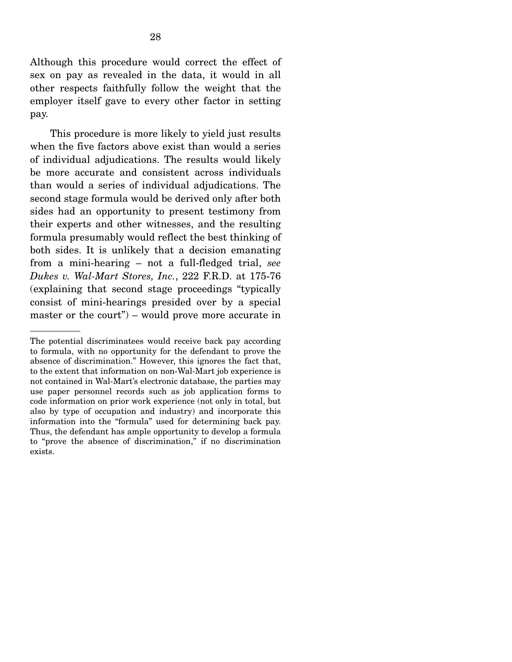Although this procedure would correct the effect of sex on pay as revealed in the data, it would in all other respects faithfully follow the weight that the employer itself gave to every other factor in setting pay.

 This procedure is more likely to yield just results when the five factors above exist than would a series of individual adjudications. The results would likely be more accurate and consistent across individuals than would a series of individual adjudications. The second stage formula would be derived only after both sides had an opportunity to present testimony from their experts and other witnesses, and the resulting formula presumably would reflect the best thinking of both sides. It is unlikely that a decision emanating from a mini-hearing – not a full-fledged trial, *see Dukes v. Wal-Mart Stores, Inc.*, 222 F.R.D. at 175-76 (explaining that second stage proceedings "typically consist of mini-hearings presided over by a special master or the court") – would prove more accurate in

The potential discriminatees would receive back pay according to formula, with no opportunity for the defendant to prove the absence of discrimination." However, this ignores the fact that, to the extent that information on non-Wal-Mart job experience is not contained in Wal-Mart's electronic database, the parties may use paper personnel records such as job application forms to code information on prior work experience (not only in total, but also by type of occupation and industry) and incorporate this information into the "formula" used for determining back pay. Thus, the defendant has ample opportunity to develop a formula to "prove the absence of discrimination," if no discrimination exists.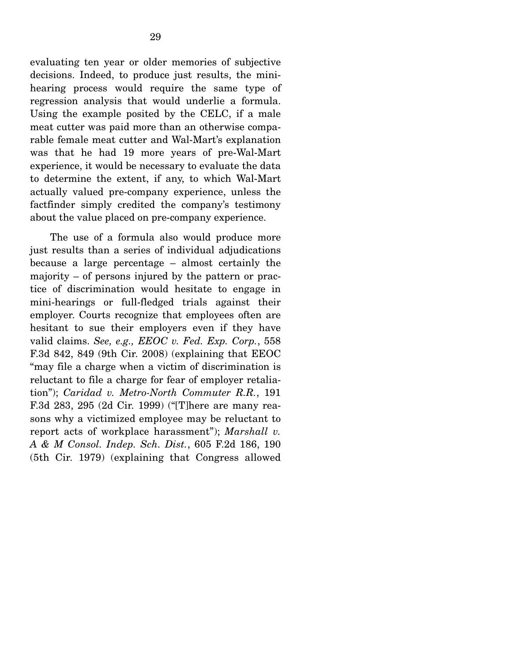evaluating ten year or older memories of subjective decisions. Indeed, to produce just results, the minihearing process would require the same type of regression analysis that would underlie a formula. Using the example posited by the CELC, if a male meat cutter was paid more than an otherwise comparable female meat cutter and Wal-Mart's explanation was that he had 19 more years of pre-Wal-Mart experience, it would be necessary to evaluate the data to determine the extent, if any, to which Wal-Mart actually valued pre-company experience, unless the factfinder simply credited the company's testimony about the value placed on pre-company experience.

 The use of a formula also would produce more just results than a series of individual adjudications because a large percentage – almost certainly the majority – of persons injured by the pattern or practice of discrimination would hesitate to engage in mini-hearings or full-fledged trials against their employer. Courts recognize that employees often are hesitant to sue their employers even if they have valid claims. *See, e.g., EEOC v. Fed. Exp. Corp.*, 558 F.3d 842, 849 (9th Cir. 2008) (explaining that EEOC "may file a charge when a victim of discrimination is reluctant to file a charge for fear of employer retaliation"); *Caridad v. Metro-North Commuter R.R.*, 191 F.3d 283, 295 (2d Cir. 1999) ("[T]here are many reasons why a victimized employee may be reluctant to report acts of workplace harassment"); *Marshall v. A & M Consol. Indep. Sch. Dist.*, 605 F.2d 186, 190 (5th Cir. 1979) (explaining that Congress allowed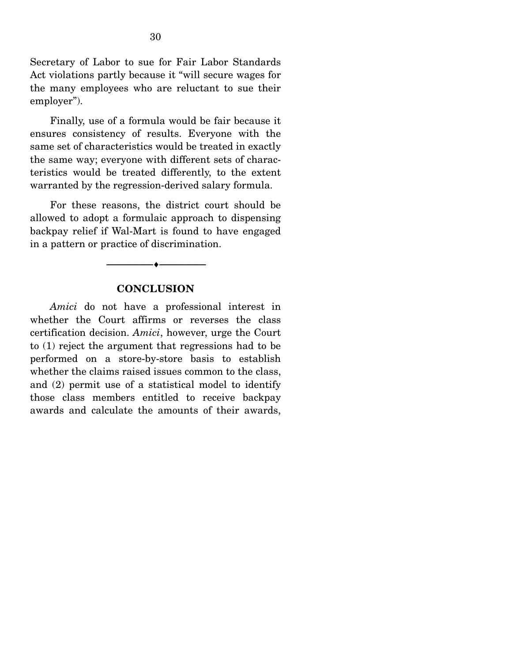Secretary of Labor to sue for Fair Labor Standards Act violations partly because it "will secure wages for the many employees who are reluctant to sue their employer").

 Finally, use of a formula would be fair because it ensures consistency of results. Everyone with the same set of characteristics would be treated in exactly the same way; everyone with different sets of characteristics would be treated differently, to the extent warranted by the regression-derived salary formula.

 For these reasons, the district court should be allowed to adopt a formulaic approach to dispensing backpay relief if Wal-Mart is found to have engaged in a pattern or practice of discrimination.

#### **CONCLUSION**

--------------------------------- ♦ ---------------------------------

*Amici* do not have a professional interest in whether the Court affirms or reverses the class certification decision. *Amici*, however, urge the Court to (1) reject the argument that regressions had to be performed on a store-by-store basis to establish whether the claims raised issues common to the class, and (2) permit use of a statistical model to identify those class members entitled to receive backpay awards and calculate the amounts of their awards,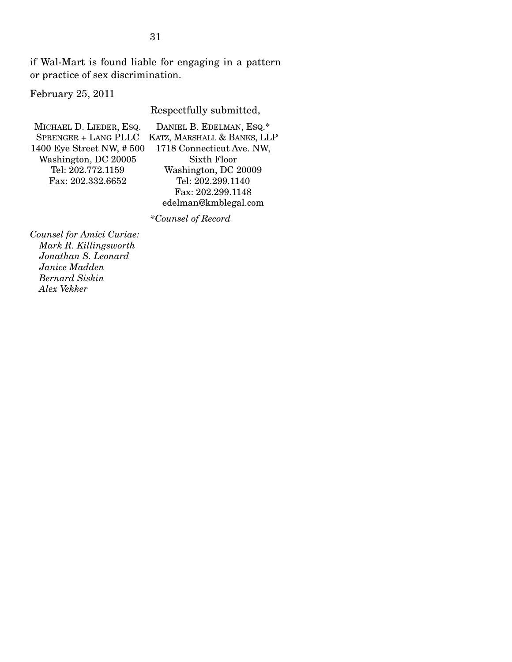if Wal-Mart is found liable for engaging in a pattern or practice of sex discrimination.

February 25, 2011

Respectfully submitted,

| MICHAEL D. LIEDER, ESQ.  | DANIEL B. EDELMAN, ESQ.*    |
|--------------------------|-----------------------------|
| SPRENGER + LANG PLLC     | KATZ, MARSHALL & BANKS, LLP |
| 1400 Eye Street NW, #500 | 1718 Connecticut Ave. NW,   |
| Washington, DC 20005     | Sixth Floor                 |
| Tel: 202.772.1159        | Washington, DC 20009        |
| Fax: 202.332.6652        | Tel: 202.299.1140           |
|                          | Fax: 202.299.1148           |
|                          | edelman@kmblegal.com        |

 *\*Counsel of Record* 

*Counsel for Amici Curiae: Mark R. Killingsworth Jonathan S. Leonard Janice Madden Bernard Siskin Alex Vekker*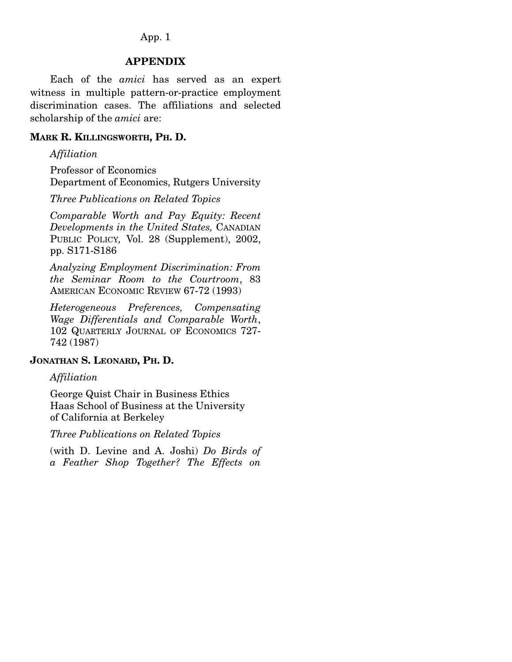#### App. 1

#### **APPENDIX**

 Each of the *amici* has served as an expert witness in multiple pattern-or-practice employment discrimination cases. The affiliations and selected scholarship of the *amici* are:

#### **MARK R. KILLINGSWORTH, PH. D.**

*Affiliation* 

Professor of Economics Department of Economics, Rutgers University

*Three Publications on Related Topics* 

*Comparable Worth and Pay Equity: Recent Developments in the United States,* CANADIAN PUBLIC POLICY*,* Vol. 28 (Supplement), 2002, pp. S171-S186

*Analyzing Employment Discrimination: From the Seminar Room to the Courtroom*, 83 AMERICAN ECONOMIC REVIEW 67-72 (1993)

*Heterogeneous Preferences, Compensating Wage Differentials and Comparable Worth*, 102 QUARTERLY JOURNAL OF ECONOMICS 727- 742 (1987)

#### **JONATHAN S. LEONARD, PH. D.**

#### *Affiliation*

George Quist Chair in Business Ethics Haas School of Business at the University of California at Berkeley

*Three Publications on Related Topics*

(with D. Levine and A. Joshi) *Do Birds of a Feather Shop Together? The Effects on*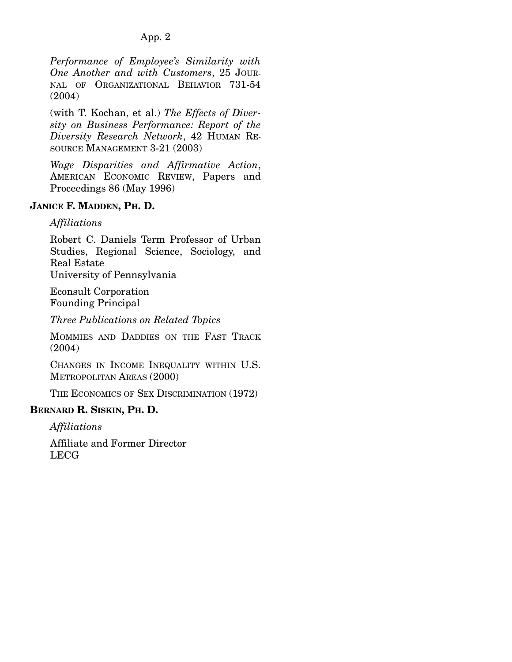### App. 2

*Performance of Employee's Similarity with One Another and with Customers*, 25 JOUR-NAL OF ORGANIZATIONAL BEHAVIOR 731-54 (2004)

(with T. Kochan, et al.) *The Effects of Diversity on Business Performance: Report of the Diversity Research Network*, 42 HUMAN RE-SOURCE MANAGEMENT 3-21 (2003)

*Wage Disparities and Affirmative Action*, AMERICAN ECONOMIC REVIEW, Papers and Proceedings 86 (May 1996)

### **JANICE F. MADDEN, PH. D.**

### *Affiliations*

Robert C. Daniels Term Professor of Urban Studies, Regional Science, Sociology, and Real Estate University of Pennsylvania

Econsult Corporation Founding Principal

*Three Publications on Related Topics*

MOMMIES AND DADDIES ON THE FAST TRACK (2004)

CHANGES IN INCOME INEQUALITY WITHIN U.S. METROPOLITAN AREAS (2000)

THE ECONOMICS OF SEX DISCRIMINATION (1972)

#### **BERNARD R. SISKIN, PH. D.**

*Affiliations* 

Affiliate and Former Director LECG